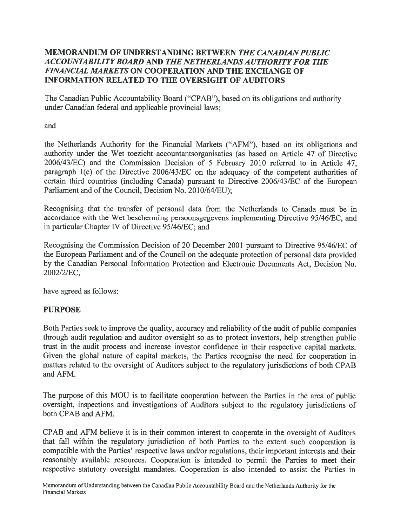### MEMORANDUM OF UNDERSTANDING BETWEEN THE CANADIAN PUBLIC ACCOUNTABILITY BOARD AND THE NETHERLANDSA UTHORJTY FOR THE FINANCIAL MARKETS ON COOPERATION AND THE EXCHANGE OF INFORMATION RELATED TO THE OVERSIGHT OF AUDITORS

The Canadian Public Accountability Board ("CPAB"), based on its obligations and authority under Canadian federal and applicable provincial laws;

and

the Netherlands Authority for the Financial Markets ("AFM"), based on its obligations and authority under the Wet toezicht accountantsorganisaties (as based on Article 47 of Directive 2006/43/EC) and the Commission Decision of 5 February 2010 referred to in Article 47, paragraph  $1(c)$  of the Directive 2006/43/EC on the adequacy of the competent authorities of certain third countries (including Canada) pursuan<sup>t</sup> to Directive 2006/43/EC of the European Parliament and of the Council, Decision No. 2010/64/EU);

Recognising that the transfer of personal data from the Netherlands to Canada must be in accordance with the Wet bescherming persoonsgegevens implementing Directive 95/46/EC, and in particular Chapter IV of Directive 95/46/EC; and

Recognising the Commission Decision of 20 December 2001 pursuan<sup>t</sup> to Directive 95/46/EC of the European Parliament and of the Council on the adequate protection of personal data provided by the Canadian Personal Information Protection and Electronic Documents Act, Decision No. 2002/2/EC,

have agreed as follows:

# PURPOSE

Both Parties seek to improve the quality, accuracy and reliability of the audit of public companies through audit regulation and auditor oversight so as to protect investors, help strengthen public trust in the audit process and increase investor confidence in their respective capital markets. Given the <sup>g</sup>lobal nature of capital markets, the Parties recognise the need for cooperation in matters related to the oversight of Auditors subject to the regulatory jurisdictions of both CPAB and AFM.

The purpose of this MOU is to facilitate cooperation between the Parties in the area of public oversight, inspections and investigations of Auditors subject to the regulatory jurisdictions of both CPAB and AFM.

CPAB and AFM believe it is in their common interest to cooperate in the oversight of Auditors that fall within the regulatory jurisdiction of both Parties to the extent such cooperation is compatible with the Parties' respective laws and/or regulations, their important interests and their reasonably available resources. Cooperation is intended to permit the Parties to meet their respective statutory oversight mandates. Cooperation is also intended to assist the Parties in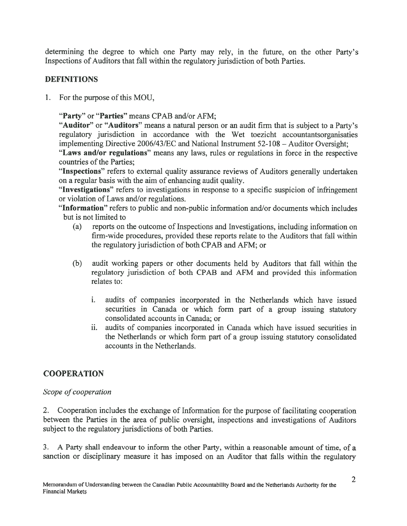determining the degree to which one Party may rely, in the future, on the other Party's Inspections of Auditors that fall within the regulatory jurisdiction of both Parties.

# DEFINITIONS

1. For the purpose of this MOU,

"Party" or "Parties" means CPAB and/or AFM;

"Auditor" or "Auditors" means a natural person or an audit firm that is subject to a Party's regulatory jurisdiction in accordance with the Wet toezicht accountantsorganisaties implementing Directive 2006/43/EC and National Instrument 52-108 — Auditor Oversight;

"Laws and/or regulations" means any laws, rules or regulations in force in the respective countries of the Parties;

"Inspections" refers to external quality assurance reviews of Auditors generally undertaken on <sup>a</sup> regular basis with the aim of enhancing audit quality.

"Investigations" refers to investigations in response to <sup>a</sup> specific suspicion of infringement or violation of Laws and/or regulations.

"Information" refers to public and non-public information and/or documents which includes but is not limited to

- (a) reports on the outcome of Inspections and Investigations, including information on firm-wide procedures, provided these reports relate to the Auditors that fall within the regulatory jurisdiction of both CPAB and AFM; or
- (b) audit working papers or other documents held by Auditors that fall within the regulatory jurisdiction of both CPAB and AFM and provided this information relates to:
	- i. audits of companies incorporated in the Netherlands which have issued securities in Canada or which form par<sup>t</sup> of <sup>a</sup> group issuing statutory consolidated accounts in Canada; or
	- ii. audits of companies incorporated in Canada which have issued securities in the Netherlands or which form par<sup>t</sup> of <sup>a</sup> group issuing statutory consolidated accounts in the Netherlands.

# **COOPERATION**

# Scope of cooperation

2. Cooperation includes the exchange of Information for the purpose of facilitating cooperation between the Parties in the area of public oversight, inspections and investigations of Auditors subject to the regulatory jurisdictions of both Parties.

3. A Party shall endeavour to inform the other Party, within <sup>a</sup> reasonable amount of time, of <sup>a</sup> sanction or disciplinary measure it has imposed on an Auditor that falls within the regulatory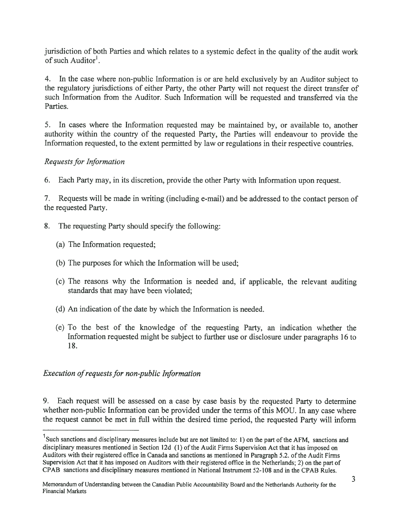jurisdiction of both Parties and which relates to <sup>a</sup> systemic defect in the quality of the audit work of such Auditor<sup>1</sup>.

4. In the case where non-public Information is or are held exclusively by an Auditor subject to the regulatory jurisdictions of either Party, the other Party will not reques<sup>t</sup> the direct transfer of such Information from the Auditor. Such Information will be requested and transferred via the Parties.

5. In cases where the Information requested may be maintained by, or available to, another authority within the country of the requested Party, the Parties will endeavour to provide the Information requested, to the extent permitted by law or regulations in their respective countries.

### Requests for Information

6. Each Party may, in its discretion, provide the other Party with Information upon request.

7. Requests will be made in writing (including e-mail) and be addressed to the contact person of the requested Party.

- 8. The requesting Party should specify the following:
	- (a) The Information requested;
	- (b) The purposes for which the Information will be used;
	- (c) The reasons why the Information is needed and, if applicable, the relevant auditing standards that may have been violated;
	- (d) An indication of the date by which the Information is needed.
	- (e) To the best of the knowledge of the requesting Party, an indication whether the Information requested might be subject to further use or disclosure under paragraphs 16 to 18.

# Execution of requests for non-public Information

9. Each reques<sup>t</sup> will be assessed on <sup>a</sup> case by case basis by the requested Party to determine whether non-public Information can be provided under the terms of this MOU. In any case where the reques<sup>t</sup> cannot be met in full within the desired time period, the requested Party will inform

<sup>&</sup>lt;sup>1</sup>Such sanctions and disciplinary measures include but are not limited to: 1) on the part of the AFM, sanctions and disciplinary measures mentioned in Section 12d (1) of the Audit Firms Supervision Act that it has imposed on Auditors with their registered office in Canada and sanctions as mentioned in Paragraph 5.2. ofthe Audit Firms Supervision Act that it has imposed on Auditors with their registered office in the Netherlands; 2) on the par<sup>t</sup> of CPAB sanctions and disciplinary measures mentioned in National Instrument 52-108 and in the CPAB Rules.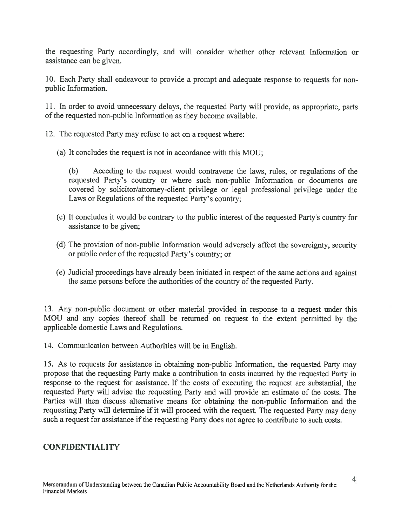the requesting Party accordingly, and will consider whether other relevant Information or assistance can be given.

10. Each Party shall endeavour to provide <sup>a</sup> promp<sup>t</sup> and adequate response to requests for non public Information.

11. In order to avoid unnecessary delays, the requested Party will provide, as appropriate, parts of the requested non-public Information as they become available.

- 12. The requested Party may refuse to act on <sup>a</sup> reques<sup>t</sup> where:
	- (a) It concludes the reques<sup>t</sup> is not in accordance with this MOU;

(b) Acceding to the reques<sup>t</sup> would contravene the laws, rules, or regulations of the requested Party's country or where such non-public Information or documents are covered by solicitor/attorney-client privilege or legal professional privilege under the Laws or Regulations of the requested Party's country;

- (c) It concludes it would be contrary to the public interest of the requested Partys country for assistance to be given;
- (d) The provision of non-public Information would adversely affect the sovereignty, security or public order of the requested Party's country; or
- (e) Judicial proceedings have already been initiated in respec<sup>t</sup> of the same actions and against the same persons before the authorities of the country of the requested Party.

13. Any non-public document or other material provided in response to <sup>a</sup> reques<sup>t</sup> under this MOU and any copies thereof shall be returned on reques<sup>t</sup> to the extent permitted by the applicable domestic Laws and Regulations.

14. Communication between Authorities will be in English.

15. As to requests for assistance in obtaining non-public Information, the requested Party may propose that the requesting Party make <sup>a</sup> contribution to costs incurred by the requested Party in response to the reques<sup>t</sup> for assistance. If the costs of executing the reques<sup>t</sup> are substantial, the requested Party will advise the requesting Party and will provide an estimate of the costs. The Parties will then discuss alternative means for obtaining the non-public Information and the requesting Party will determine if it will procee<sup>d</sup> with the request. The requested Party may deny such a request for assistance if the requesting Party does not agree to contribute to such costs.

# CONFIDENTIALITY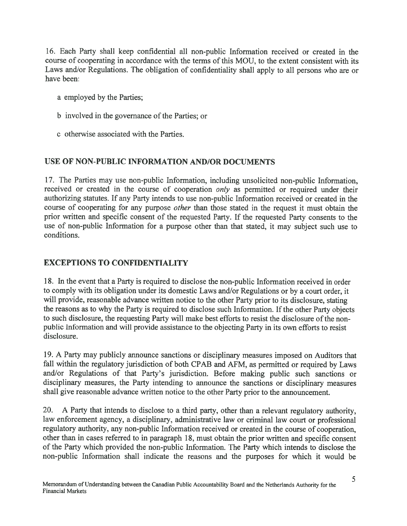16. Each Party shall keep confidential all non-public Information received or created in the course of cooperating in accordance with the terms of this MOU, to the extent consistent with its Laws and/or Regulations. The obligation of confidentiality shall apply to all persons who are or have been:

- <sup>a</sup> employed by the Parties;
- b involved in the governance of the Parties; or
- <sup>c</sup> otherwise associated with the Parties.

### USE OF NON-PUBLIC INFORMATION AND/OR DOCUMENTS

17. The Parties may use non-public Information, including unsolicited non-public Information, received or created in the course of cooperation only as permitted or required under their authorizing statutes. If any Party intends to use non-public Information received or created in the course of cooperating for any purpose other than those stated in the reques<sup>t</sup> it must obtain the prior written and specific consent of the requested Party. If the requested Party consents to the use of non-public Information for <sup>a</sup> purpose other than that stated, it may subject such use to conditions.

### EXCEPTIONS TO CONFIDENTIALITY

18. In the event that <sup>a</sup> Party is required to disclose the non-public Information received in order to comply with its obligation under its domestic Laws and/or Regulations or by <sup>a</sup> court order, it will provide, reasonable advance written notice to the other Party prior to its disclosure, stating the reasons as to why the Party is required to disclose such Information. If the other Party objects to such disclosure, the requesting Party will make best efforts to resist the disclosure of the nonpublic Information and will provide assistance to the objecting Party in its own efforts to resist disclosure.

19. <sup>A</sup> Party may publicly announce sanctions or disciplinary measures imposed on Auditors that fall within the regulatory jurisdiction of both CPAB and AFM, as permitted or required by Laws and/or Regulations of that Party's jurisdiction. Before making public such sanctions or disciplinary measures, the Party intending to announce the sanctions or disciplinary measures shall <sup>g</sup>ive reasonable advance written notice to the other Party prior to the announcement.

20. <sup>A</sup> Party that intends to disclose to <sup>a</sup> third party, other than <sup>a</sup> relevant regulatory authority, law enforcement agency, <sup>a</sup> disciplinary, administrative law or criminal law court or professional regulatory authority, any non-public Information received or created in the course of cooperation, other than in cases referred to in paragrap<sup>h</sup> 18, must obtain the prior written and specific consent of the Party which provided the non-public Information. The Party which intends to disclose the non-public Information shall indicate the reasons and the purposes for which it would be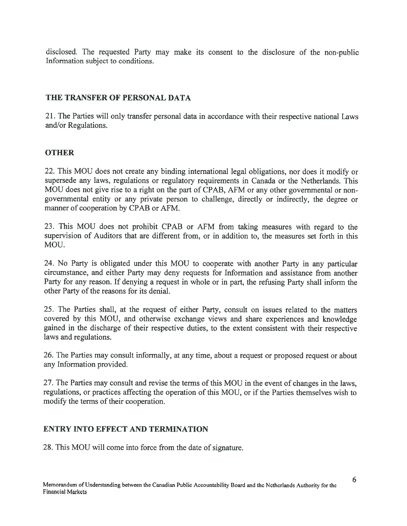disclosed. The requested Party may make its consent to the disclosure of the non-public Information subject to conditions.

### THE TRANSFER OF PERSONAL DATA

21. The Parties will only transfer personal data in accordance with their respective national Laws and/or Regulations.

### **OTHER**

22. This MOU does not create any binding international legal obligations, nor does it modify or supersede any laws, regulations or regulatory requirements in Canada or the Netherlands. This MOU does not <sup>g</sup>ive rise to <sup>a</sup> right on the par<sup>t</sup> of CPAB, AFM or any other governmental or non governmental entity or any private person to challenge, directly or indirectly, the degree or manner of cooperation by CPAB or AFM.

23. This MOU does not prohibit CPAB or AFM from taking measures with regard to the supervision of Auditors that are different from, or in addition to, the measures set forth in this MOU.

24. No Party is obligated under this MOU to cooperate with another Party in any particular circumstance, and either Party may deny requests for Information and assistance from another Party for any reason. If denying <sup>a</sup> reques<sup>t</sup> in whole or in part, the refusing Party shall inform the other Party of the reasons for its denial.

25. The Parties shall, at the reques<sup>t</sup> of either Party, consult on issues related to the matters covered by this MOU, and otherwise exchange views and share experiences and knowledge gained in the discharge of their respective duties, to the extent consistent with their respective laws and regulations.

26. The Parties may consult informally, at any time, about <sup>a</sup> reques<sup>t</sup> or propose<sup>d</sup> reques<sup>t</sup> or about any Information provided.

27. The Parties may consult and revise the terms of this MOU in the event of changes in the laws, regulations, or practices affecting the operation of this MOU, or if the Parties themselves wish to modify the terms of their cooperation.

### ENTRY INTO EFFECT AND TERMINATION

28. This MOU will come into force from the date of signature.